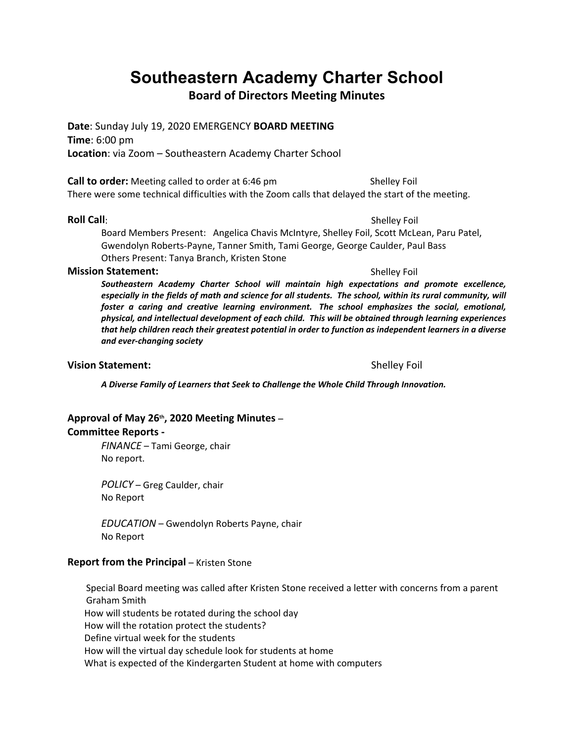# **Southeastern Academy Charter School**

**Board of Directors Meeting Minutes**

**Date**: Sunday July 19, 2020 EMERGENCY **BOARD MEETING Time**: 6:00 pm **Location**: via Zoom – Southeastern Academy Charter School

**Call to order:** Meeting called to order at 6:46 pm Shelley Foil There were some technical difficulties with the Zoom calls that delayed the start of the meeting.

**Roll Call**: Shelley Foil

Board Members Present: Angelica Chavis McIntyre, Shelley Foil, Scott McLean, Paru Patel, Gwendolyn Roberts-Payne, Tanner Smith, Tami George, George Caulder, Paul Bass Others Present: Tanya Branch, Kristen Stone

#### **Mission Statement:** Shelley Foil

*Southeastern Academy Charter School will maintain high expectations and promote excellence, especially in the fields of math and science for all students. The school, within its rural community, will foster a caring and creative learning environment. The school emphasizes the social, emotional, physical, and intellectual development of each child. This will be obtained through learning experiences that help children reach their greatest potential in order to function as independent learners in a diverse and ever-changing society*

#### **Vision Statement:**  $\qquad \qquad$  Shelley Foil

*A Diverse Family of Learners that Seek to Challenge the Whole Child Through Innovation.*

## **Approval of May 26th, 2020 Meeting Minutes** –

#### **Committee Reports -**

*FINANCE* – Tami George, chair No report.

*POLICY* – Greg Caulder, chair No Report

*EDUCATION* – Gwendolyn Roberts Payne, chair No Report

#### **Report from the Principal – Kristen Stone**

 Special Board meeting was called after Kristen Stone received a letter with concerns from a parent Graham Smith

How will students be rotated during the school day

How will the rotation protect the students?

Define virtual week for the students

How will the virtual day schedule look for students at home

What is expected of the Kindergarten Student at home with computers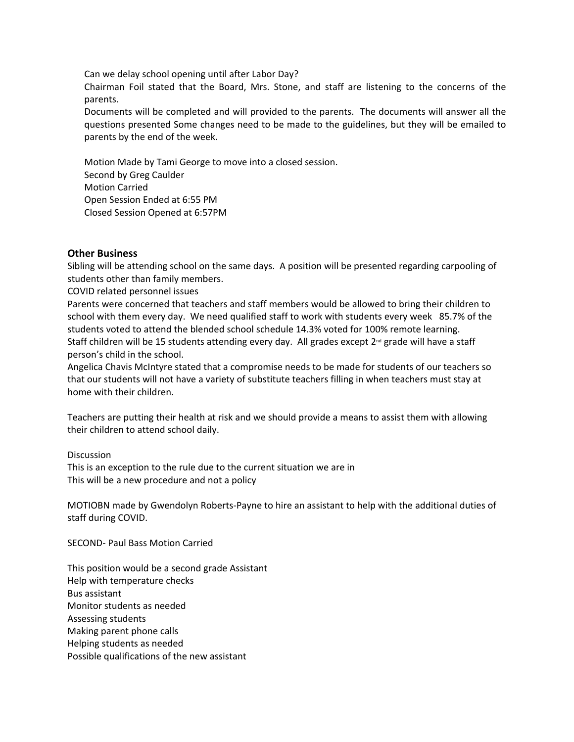Can we delay school opening until after Labor Day?

Chairman Foil stated that the Board, Mrs. Stone, and staff are listening to the concerns of the parents.

Documents will be completed and will provided to the parents. The documents will answer all the questions presented Some changes need to be made to the guidelines, but they will be emailed to parents by the end of the week.

Motion Made by Tami George to move into a closed session. Second by Greg Caulder Motion Carried Open Session Ended at 6:55 PM Closed Session Opened at 6:57PM

#### **Other Business**

Sibling will be attending school on the same days. A position will be presented regarding carpooling of students other than family members.

COVID related personnel issues

Parents were concerned that teachers and staff members would be allowed to bring their children to school with them every day. We need qualified staff to work with students every week 85.7% of the students voted to attend the blended school schedule 14.3% voted for 100% remote learning. Staff children will be 15 students attending every day. All grades except 2<sup>nd</sup> grade will have a staff person's child in the school.

Angelica Chavis McIntyre stated that a compromise needs to be made for students of our teachers so that our students will not have a variety of substitute teachers filling in when teachers must stay at home with their children.

Teachers are putting their health at risk and we should provide a means to assist them with allowing their children to attend school daily.

**Discussion** 

This is an exception to the rule due to the current situation we are in This will be a new procedure and not a policy

MOTIOBN made by Gwendolyn Roberts-Payne to hire an assistant to help with the additional duties of staff during COVID.

SECOND- Paul Bass Motion Carried

This position would be a second grade Assistant Help with temperature checks Bus assistant Monitor students as needed Assessing students Making parent phone calls Helping students as needed Possible qualifications of the new assistant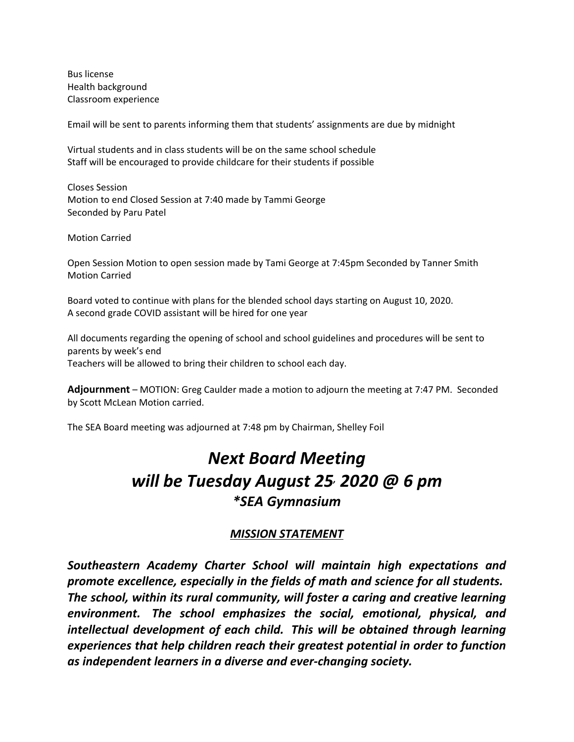Bus license Health background Classroom experience

Email will be sent to parents informing them that students' assignments are due by midnight

Virtual students and in class students will be on the same school schedule Staff will be encouraged to provide childcare for their students if possible

Closes Session Motion to end Closed Session at 7:40 made by Tammi George Seconded by Paru Patel

Motion Carried

Open Session Motion to open session made by Tami George at 7:45pm Seconded by Tanner Smith Motion Carried

Board voted to continue with plans for the blended school days starting on August 10, 2020. A second grade COVID assistant will be hired for one year

All documents regarding the opening of school and school guidelines and procedures will be sent to parents by week's end Teachers will be allowed to bring their children to school each day.

**Adjournment** – MOTION: Greg Caulder made a motion to adjourn the meeting at 7:47 PM. Seconded by Scott McLean Motion carried.

The SEA Board meeting was adjourned at 7:48 pm by Chairman, Shelley Foil

# *Next Board Meeting will be Tuesday August 25, 2020 @ 6 pm \*SEA Gymnasium*

### *MISSION STATEMENT*

*Southeastern Academy Charter School will maintain high expectations and promote excellence, especially in the fields of math and science for all students. The school, within its rural community, will foster a caring and creative learning environment. The school emphasizes the social, emotional, physical, and intellectual development of each child. This will be obtained through learning experiences that help children reach their greatest potential in order to function as independent learners in a diverse and ever-changing society.*